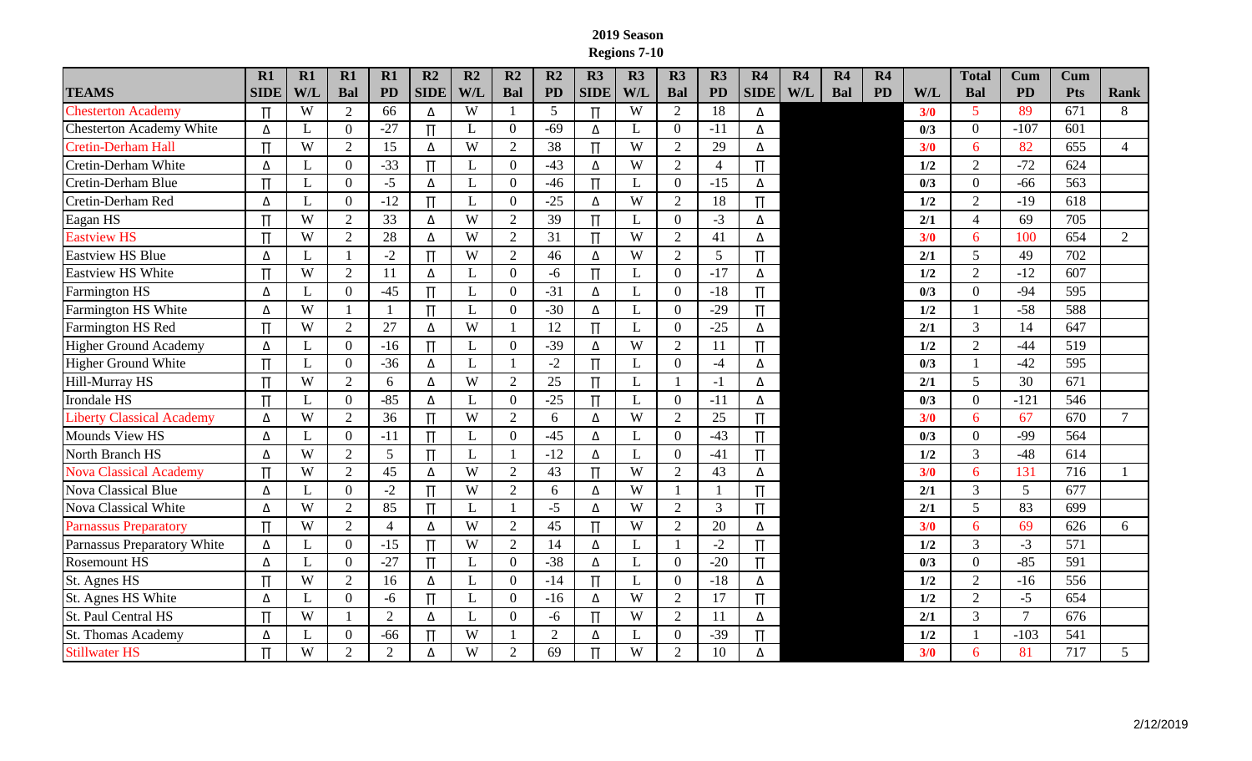## **2019 Season Regions 7-10**

|                                  | R1          | R1  | R1             | R1             | R2          | R2           | R2             | R2             | R3               | R3  | R3             | R3              | R4               | R <sub>4</sub> | R <sub>4</sub> | R4        |     | <b>Total</b>   | Cum             | Cum              |                |
|----------------------------------|-------------|-----|----------------|----------------|-------------|--------------|----------------|----------------|------------------|-----|----------------|-----------------|------------------|----------------|----------------|-----------|-----|----------------|-----------------|------------------|----------------|
| <b>TEAMS</b>                     | <b>SIDE</b> | W/L | <b>Bal</b>     | <b>PD</b>      | <b>SIDE</b> | W/L          | Bal            | <b>PD</b>      | <b>SIDE</b>      | W/L | <b>Bal</b>     | <b>PD</b>       | <b>SIDE</b>      | W/L            | <b>Bal</b>     | <b>PD</b> | W/L | <b>Bal</b>     | <b>PD</b>       | <b>Pts</b>       | <b>Rank</b>    |
| <b>Chesterton Academy</b>        | Π           | W   | $\overline{2}$ | 66             | Δ           | W            |                | 5              | $\mathsf{\Pi}$   | W   | 2              | 18              | Δ                |                |                |           | 3/0 | 5              | 89              | 671              | 8              |
| <b>Chesterton Academy White</b>  | Δ           |     | $\overline{0}$ | $-27$          | $\Pi$       | L            | $\overline{0}$ | $-69$          | Δ                | L   | $\mathbf{0}$   | $-11$           | Δ                |                |                |           | 0/3 | $\overline{0}$ | $-107$          | $\overline{601}$ |                |
| <b>Cretin-Derham Hall</b>        | $\Pi$       | W   | $\overline{2}$ | 15             | Δ           | W            | 2              | 38             | $\overline{\Pi}$ | W   | 2              | 29              | Δ                |                |                |           | 3/0 | 6              | 82              | 655              | $\overline{4}$ |
| Cretin-Derham White              | Δ           |     | $\overline{0}$ | $-33$          | $\Pi$       | L            | $\overline{0}$ | $-43$          | Δ                | W   | 2              | $\overline{4}$  | Π                |                |                |           | 1/2 | $\overline{2}$ | $-72$           | 624              |                |
| Cretin-Derham Blue               | $\Pi$       |     | $\overline{0}$ | $-5$           | Δ           | L            | $\overline{0}$ | $-46$          | $\overline{\Pi}$ | L   | $\overline{0}$ | $-15$           | Δ                |                |                |           | 0/3 | $\overline{0}$ | $-66$           | 563              |                |
| Cretin-Derham Red                | Δ           |     | $\overline{0}$ | $-12$          | $\Pi$       | L            | $\overline{0}$ | $-25$          | Δ                | W   | 2              | 18              | $\Pi$            |                |                |           | 1/2 | 2              | $-19$           | 618              |                |
| Eagan HS                         | $\Pi$       | W   | $\overline{2}$ | 33             | Δ           | W            | 2              | 39             | $\overline{\Pi}$ | L   | $\overline{0}$ | $-3$            | Δ                |                |                |           | 2/1 | $\overline{4}$ | 69              | 705              |                |
| <b>Eastview HS</b>               | $\Pi$       | W   | $\overline{2}$ | 28             | Δ           | W            | 2              | 31             | $\Pi$            | W   | $\overline{2}$ | 41              | Δ                |                |                |           | 3/0 | 6              | 100             | 654              | $\overline{2}$ |
| <b>Eastview HS Blue</b>          | Δ           |     |                | $-2$           | $\Pi$       | W            | 2              | 46             | Δ                | W   | 2              | $5\overline{)}$ | $\Pi$            |                |                |           | 2/1 | 5              | 49              | 702              |                |
| <b>Eastview HS White</b>         | π           | W   | $\overline{2}$ | 11             | Δ           | L            | $\overline{0}$ | $-6$           | $\Pi$            | L   | $\mathbf{0}$   | $-17$           | Δ                |                |                |           | 1/2 | $\overline{2}$ | $-12$           | 607              |                |
| <b>Farmington HS</b>             | Δ           |     | $\Omega$       | $-45$          | $\Pi$       | L            | $\theta$       | $-31$          | Δ                | L   | $\overline{0}$ | $-18$           | $\Pi$            |                |                |           | 0/3 | $\overline{0}$ | $-94$           | 595              |                |
| Farmington HS White              | Δ           | W   |                |                | $\Pi$       | L            | $\mathbf{0}$   | $-30$          | Δ                | L   | $\mathbf{0}$   | $-29$           | $\Pi$            |                |                |           | 1/2 |                | $-58$           | 588              |                |
| <b>Farmington HS Red</b>         | $\Pi$       | W   | $\overline{2}$ | 27             | Δ           | W            |                | 12             | $\overline{\Pi}$ | L   | $\mathbf{0}$   | $-25$           | Δ                |                |                |           | 2/1 | 3              | 14              | 647              |                |
| <b>Higher Ground Academy</b>     | Δ           |     | $\mathbf{0}$   | $-16$          | $\Pi$       | $\mathbf{L}$ | $\mathbf{0}$   | $-39$          | Δ                | W   | 2              | 11              | $\Pi$            |                |                |           | 1/2 | 2              | $-44$           | 519              |                |
| <b>Higher Ground White</b>       | Π           |     | $\theta$       | $-36$          | Δ           | L            |                | $-2$           | $\Pi$            | L   | $\mathbf{0}$   | $-4$            | Δ                |                |                |           | 0/3 |                | $-42$           | 595              |                |
| Hill-Murray HS                   | $\Pi$       | W   | $\overline{2}$ | 6              | Δ           | W            | $\overline{2}$ | 25             | $\Pi$            | L   | $\mathbf{1}$   | $-1$            | Δ                |                |                |           | 2/1 | 5              | 30              | 671              |                |
| Irondale HS                      | Π           |     | $\overline{0}$ | $-85$          | Δ           | L            | $\overline{0}$ | $-25$          | $\Pi$            | L   | $\mathbf{0}$   | $-11$           | Δ                |                |                |           | 0/3 | $\overline{0}$ | $-121$          | 546              |                |
| <b>Liberty Classical Academy</b> | Δ           | W   | $\overline{2}$ | 36             | $\Pi$       | W            | 2              | 6              | Δ                | W   | 2              | 25              | $\overline{\Pi}$ |                |                |           | 3/0 | 6              | 67              | 670              | $\tau$         |
| <b>Mounds View HS</b>            | Δ           |     | $\overline{0}$ | $-11$          | $\prod$     | L            | $\overline{0}$ | $-45$          | Δ                | L   | $\overline{0}$ | $-43$           | Π                |                |                |           | 0/3 | $\overline{0}$ | $-99$           | 564              |                |
| North Branch HS                  | Δ           | W   | $\overline{2}$ | 5              | $\Pi$       | L            |                | $-12$          | Δ                | L   | $\overline{0}$ | $-41$           | $\Pi$            |                |                |           | 1/2 | 3              | $-48$           | 614              |                |
| <b>Nova Classical Academy</b>    | $\Pi$       | W   | $\overline{2}$ | 45             | Δ           | W            | 2              | 43             | $\Pi$            | W   | 2              | 43              | Δ                |                |                |           | 3/0 | 6              | 131             | 716              |                |
| <b>Nova Classical Blue</b>       | Δ           |     | $\overline{0}$ | $-2$           | $\Pi$       | W            | 2              | 6              | Δ                | W   | 1              |                 | $\overline{\Pi}$ |                |                |           | 2/1 | 3              | $5\overline{)}$ | 677              |                |
| Nova Classical White             | Δ           | W   | $\overline{2}$ | 85             | $\Pi$       | L            |                | $-5$           | Δ                | W   | 2              | 3               | $\Pi$            |                |                |           | 2/1 | 5              | 83              | 699              |                |
| <b>Parnassus Preparatory</b>     | $\Pi$       | W   | $\overline{2}$ | $\overline{4}$ | Δ           | W            | 2              | 45             | $\Pi$            | W   | 2              | 20              | Δ                |                |                |           | 3/0 | 6              | 69              | 626              | 6              |
| Parnassus Preparatory White      | Δ           |     | $\overline{0}$ | $-15$          | Π           | W            | $\overline{2}$ | 14             | Δ                | L   | 1              | $-2$            | Π                |                |                |           | 1/2 | 3              | $-3$            | 571              |                |
| <b>Rosemount HS</b>              | Δ           |     | $\Omega$       | $-27$          | $\Pi$       | L            | $\overline{0}$ | $-38$          | Δ                | L   | $\overline{0}$ | $-20$           | $\Pi$            |                |                |           | 0/3 | $\overline{0}$ | $-85$           | 591              |                |
| St. Agnes HS                     | $\Pi$       | W   | $\overline{2}$ | 16             | Δ           | L            | $\overline{0}$ | $-14$          | $\Pi$            | L   | $\mathbf{0}$   | $-18$           | Δ                |                |                |           | 1/2 | $\overline{2}$ | $-16$           | 556              |                |
| St. Agnes HS White               | Δ           |     | $\overline{0}$ | $-6$           | $\Pi$       | L            | $\overline{0}$ | $-16$          | Δ                | W   | 2              | 17              | $\Pi$            |                |                |           | 1/2 | $\overline{2}$ | $-5$            | 654              |                |
| St. Paul Central HS              | $\Pi$       | W   |                | 2              | Δ           | L            | $\overline{0}$ | -6             | $\Pi$            | W   | 2              | 11              | Δ                |                |                |           | 2/1 | 3              | $\overline{7}$  | 676              |                |
| <b>St. Thomas Academy</b>        | Δ           |     | $\Omega$       | $-66$          | Π           | W            |                | $\overline{2}$ | Δ                | L   | $\overline{0}$ | $-39$           | Π                |                |                |           | 1/2 |                | $-103$          | 541              |                |
| <b>Stillwater HS</b>             | $\Pi$       | W   | $\overline{2}$ | $\overline{2}$ | Δ           | W            | $\overline{2}$ | 69             | $\mathbf \pi$    | W   | $\overline{2}$ | 10              | Δ                |                |                |           | 3/0 | 6              | 81              | 717              | 5 <sup>5</sup> |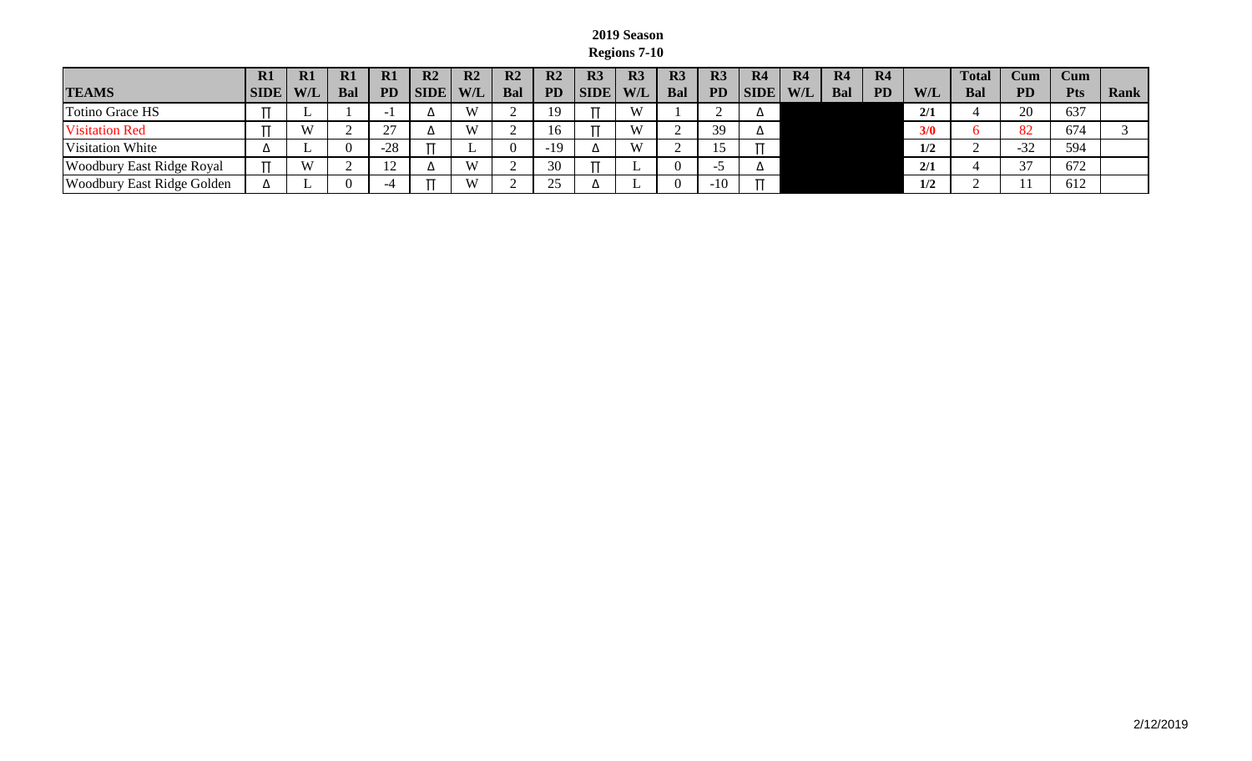## **2019 Season Regions 7-10**

|                                   | R1          | R1         | R1         | R1          | $\mathbf{R}2$  | R2         | R <sub>2</sub> | $\mathbf{R}2$ | R <sub>3</sub> | R3             | R <sub>3</sub> | R <sub>3</sub> | R <sub>4</sub> | <b>R4</b> | R4  | R4        |            | <b>Total</b> | Cum       | Cum        |      |
|-----------------------------------|-------------|------------|------------|-------------|----------------|------------|----------------|---------------|----------------|----------------|----------------|----------------|----------------|-----------|-----|-----------|------------|--------------|-----------|------------|------|
| <b>TEAMS</b>                      | <b>SIDE</b> | <b>W/L</b> | <b>Bal</b> | <b>PD</b>   | <b>SIDE</b>    | <b>W/L</b> | Bal            | <b>PD</b>     | <b>SIDE</b>    | W/L            | Bal            | <b>PD</b>      | <b>SIDE</b>    | W/L       | Bal | <b>PD</b> | <b>W/L</b> | Bal          | <b>PD</b> | <b>Pts</b> | Rank |
| <b>Totino Grace HS</b>            |             | ∸          |            |             | $\overline{ }$ | W          |                | 19            |                | W <sub>1</sub> |                |                | ▵              |           |     |           | 2/1        |              | 20        | 637        |      |
| <b>Visitation Red</b>             |             | X          |            | $\sim$<br>∸ | ப              | W          |                | 16            |                | W)             |                | 39             | ▵              |           |     |           | 3/0        |              | 82        | 674        |      |
| <b>Visitation White</b>           | ▵           | ∸          |            | $-28$       |                | <u>.</u>   |                | $-19$         |                | W              |                |                |                |           |     |           | 1/2        |              | $-32$     | 594        |      |
| <b>Woodbury East Ridge Royal</b>  |             | X          |            |             | ▵              | W          |                | 30            |                | <b>.</b>       |                |                | ▵              |           |     |           | 2/1        |              | 37        | 672        |      |
| <b>Woodbury East Ridge Golden</b> | Δ           | ∸          |            |             |                | W          |                | 25            |                | ∸              |                | $-10$          |                |           |     |           | 1/2        |              | 11        | 612        |      |